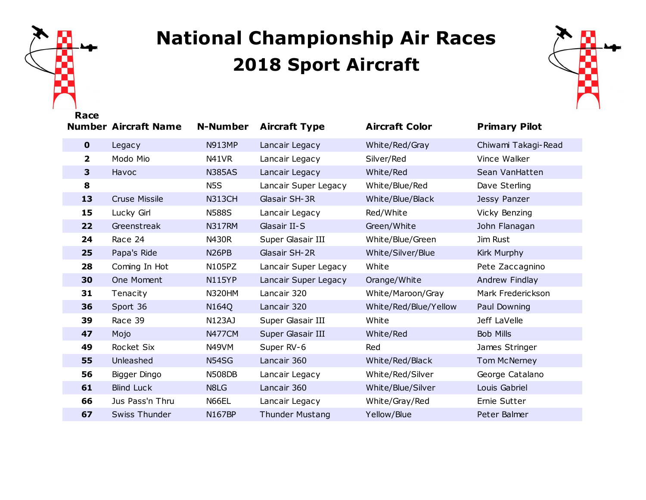

## **National Championship Air Races Sport Aircraft**



| nacc                    | <b>Number Aircraft Name</b> | <b>N-Number</b>    | <b>Aircraft Type</b>   | <b>Aircraft Color</b> | <b>Primary Pilot</b> |
|-------------------------|-----------------------------|--------------------|------------------------|-----------------------|----------------------|
| $\mathbf 0$             | Legacy                      | <b>N913MP</b>      | Lancair Legacy         | White/Red/Gray        | Chiwami Takagi-Read  |
| $\overline{\mathbf{2}}$ | Modo Mio                    | N41VR              | Lancair Legacy         | Silver/Red            | Vince Walker         |
| $\overline{\mathbf{3}}$ | Havoc                       | <b>N385AS</b>      | Lancair Legacy         | White/Red             | Sean VanHatten       |
| 8                       |                             | N <sub>5</sub> S   | Lancair Super Legacy   | White/Blue/Red        | Dave Sterling        |
| 13                      | <b>Cruse Missile</b>        | <b>N313CH</b>      | Glasair SH-3R          | White/Blue/Black      | Jessy Panzer         |
| 15                      | Lucky Girl                  | <b>N588S</b>       | Lancair Legacy         | Red/White             | Vicky Benzing        |
| 22                      | Greenstreak                 | <b>N317RM</b>      | Glasair II-S           | Green/White           | John Flanagan        |
| 24                      | Race 24                     | <b>N430R</b>       | Super Glasair III      | White/Blue/Green      | Jim Rust             |
| 25                      | Papa's Ride                 | N <sub>26</sub> PB | Glasair SH-2R          | White/Silver/Blue     | Kirk Murphy          |
| 28                      | Coming In Hot               | N105PZ             | Lancair Super Legacy   | White                 | Pete Zaccagnino      |
| 30                      | One Moment                  | <b>N115YP</b>      | Lancair Super Legacy   | Orange/White          | Andrew Findlay       |
| 31                      | Tenacity                    | <b>N320HM</b>      | Lancair 320            | White/Maroon/Gray     | Mark Frederickson    |
| 36                      | Sport 36                    | N164Q              | Lancair 320            | White/Red/Blue/Yellow | Paul Downing         |
| 39                      | Race 39                     | N123AJ             | Super Glasair III      | White                 | Jeff LaVelle         |
| 47                      | Mojo                        | <b>N477CM</b>      | Super Glasair III      | White/Red             | <b>Bob Mills</b>     |
| 49                      | Rocket Six                  | N49VM              | Super RV-6             | Red                   | James Stringer       |
| 55                      | Unleashed                   | N54SG              | Lancair 360            | White/Red/Black       | Tom McNerney         |
| 56                      | Bigger Dingo                | <b>N508DB</b>      | Lancair Legacy         | White/Red/Silver      | George Catalano      |
| 61                      | <b>Blind Luck</b>           | N8LG               | Lancair 360            | White/Blue/Silver     | Louis Gabriel        |
| 66                      | Jus Pass'n Thru             | N66EL              | Lancair Legacy         | White/Gray/Red        | Ernie Sutter         |
| 67                      | <b>Swiss Thunder</b>        | <b>N167BP</b>      | <b>Thunder Mustang</b> | Yellow/Blue           | Peter Balmer         |